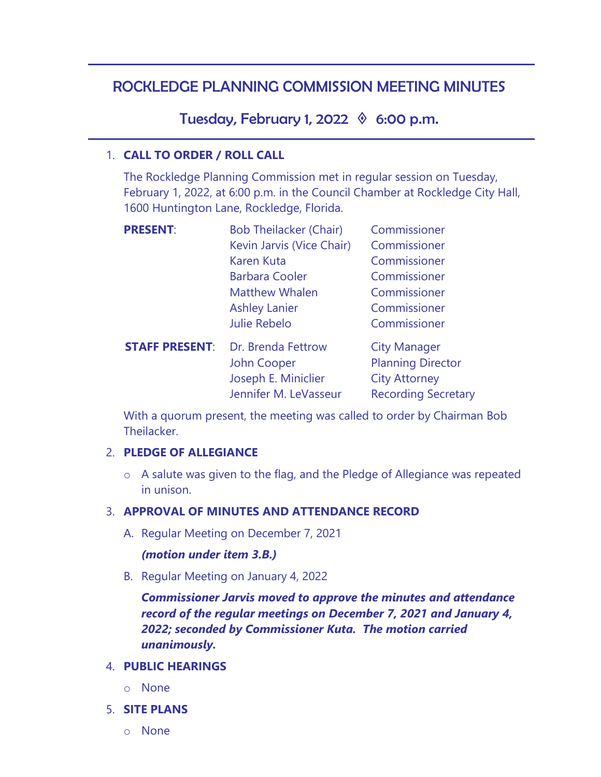# ROCKLEDGE PLANNING COMMISSION MEETING MINUTES

Tuesday, February 1, 2022  $\Diamond$  6:00 p.m.

### 1. **CALL TO ORDER / ROLL CALL**

The Rockledge Planning Commission met in regular session on Tuesday, February 1, 2022, at 6:00 p.m. in the Council Chamber at Rockledge City Hall, 1600 Huntington Lane, Rockledge, Florida.

| <b>PRESENT:</b>       | <b>Bob Theilacker (Chair)</b> | Commissioner               |
|-----------------------|-------------------------------|----------------------------|
|                       | Kevin Jarvis (Vice Chair)     | Commissioner               |
|                       | <b>Karen Kuta</b>             | Commissioner               |
|                       | <b>Barbara Cooler</b>         | Commissioner               |
|                       | <b>Matthew Whalen</b>         | Commissioner               |
|                       | <b>Ashley Lanier</b>          | Commissioner               |
|                       | <b>Julie Rebelo</b>           | Commissioner               |
| <b>STAFF PRESENT:</b> | Dr. Brenda Fettrow            | <b>City Manager</b>        |
|                       | John Cooper                   | <b>Planning Director</b>   |
|                       | Joseph E. Miniclier           | <b>City Attorney</b>       |
|                       | Jennifer M. LeVasseur         | <b>Recording Secretary</b> |

With a quorum present, the meeting was called to order by Chairman Bob Theilacker.

### 2. **PLEDGE OF ALLEGIANCE**

o A salute was given to the flag, and the Pledge of Allegiance was repeated in unison.

### 3. **APPROVAL OF MINUTES AND ATTENDANCE RECORD**

A. Regular Meeting on December 7, 2021

### *(motion under item 3.B.)*

B. Regular Meeting on January 4, 2022

*Commissioner Jarvis moved to approve the minutes and attendance record of the regular meetings on December 7, 2021 and January 4, 2022; seconded by Commissioner Kuta. The motion carried unanimously.* 

### 4. **PUBLIC HEARINGS**

- o None
- 5. **SITE PLANS**
	- o None